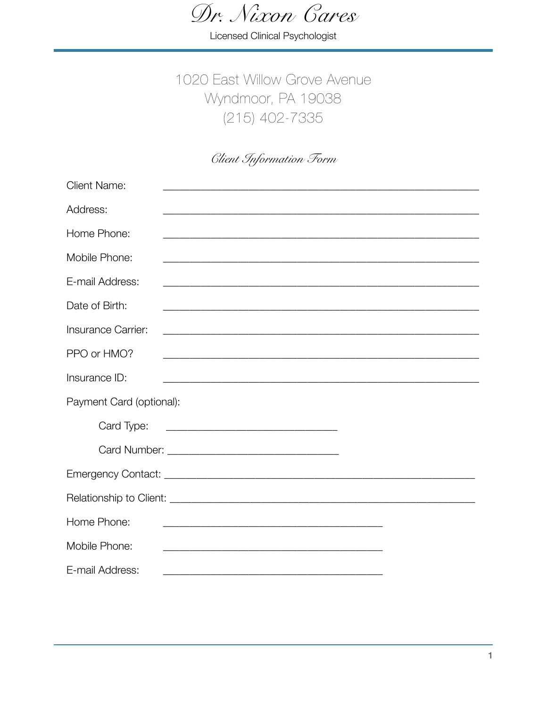Dr. Nixon Cares

Licensed Clinical Psychologist

# 1020 East Willow Grove Avenue Wyndmoor, PA 19038  $(215)$  402-7335

## **Client Information Form**

| <b>Client Name:</b>                                                                                                             |
|---------------------------------------------------------------------------------------------------------------------------------|
| Address:                                                                                                                        |
| Home Phone:<br>and the control of the control of the control of the control of the control of the control of the control of the |
| Mobile Phone:                                                                                                                   |
| E-mail Address:                                                                                                                 |
| Date of Birth:                                                                                                                  |
| Insurance Carrier:                                                                                                              |
| PPO or HMO?                                                                                                                     |
| Insurance ID:                                                                                                                   |
| Payment Card (optional):                                                                                                        |
| Card Type:                                                                                                                      |
|                                                                                                                                 |
|                                                                                                                                 |
|                                                                                                                                 |
| Home Phone:                                                                                                                     |
| Mobile Phone:                                                                                                                   |
| E-mail Address:                                                                                                                 |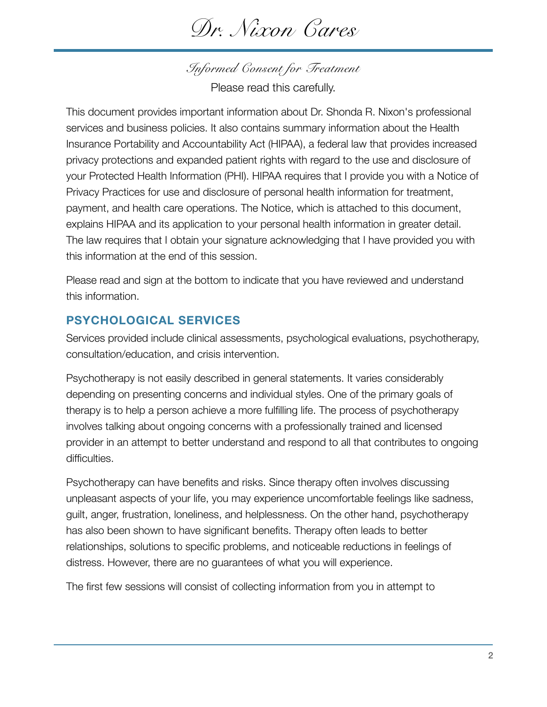*Dr. Nixon Cares* 

*Informed Consent for Treatment*  Please read this carefully.

This document provides important information about Dr. Shonda R. Nixon's professional services and business policies. It also contains summary information about the Health Insurance Portability and Accountability Act (HIPAA), a federal law that provides increased privacy protections and expanded patient rights with regard to the use and disclosure of your Protected Health Information (PHI). HIPAA requires that I provide you with a Notice of Privacy Practices for use and disclosure of personal health information for treatment, payment, and health care operations. The Notice, which is attached to this document, explains HIPAA and its application to your personal health information in greater detail. The law requires that I obtain your signature acknowledging that I have provided you with this information at the end of this session.

Please read and sign at the bottom to indicate that you have reviewed and understand this information.

## **PSYCHOLOGICAL SERVICES**

Services provided include clinical assessments, psychological evaluations, psychotherapy, consultation/education, and crisis intervention.

Psychotherapy is not easily described in general statements. It varies considerably depending on presenting concerns and individual styles. One of the primary goals of therapy is to help a person achieve a more fulfilling life. The process of psychotherapy involves talking about ongoing concerns with a professionally trained and licensed provider in an attempt to better understand and respond to all that contributes to ongoing difficulties.

Psychotherapy can have benefits and risks. Since therapy often involves discussing unpleasant aspects of your life, you may experience uncomfortable feelings like sadness, guilt, anger, frustration, loneliness, and helplessness. On the other hand, psychotherapy has also been shown to have significant benefits. Therapy often leads to better relationships, solutions to specific problems, and noticeable reductions in feelings of distress. However, there are no guarantees of what you will experience.

The first few sessions will consist of collecting information from you in attempt to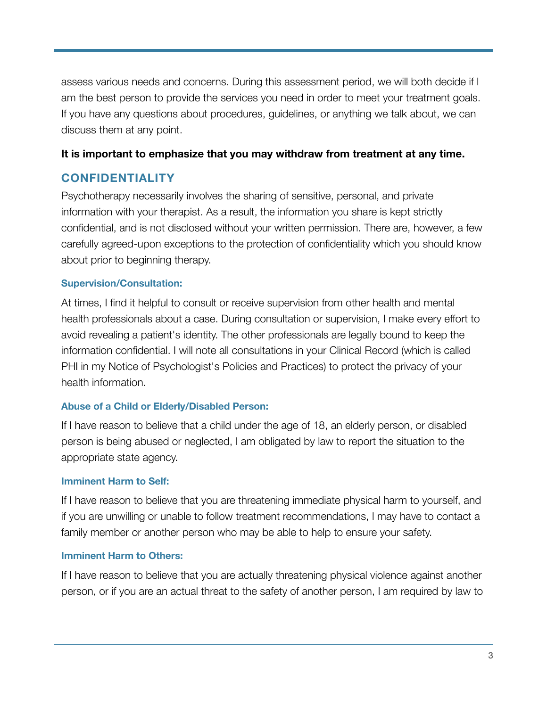assess various needs and concerns. During this assessment period, we will both decide if I am the best person to provide the services you need in order to meet your treatment goals. If you have any questions about procedures, guidelines, or anything we talk about, we can discuss them at any point.

#### **It is important to emphasize that you may withdraw from treatment at any time.**

## **CONFIDENTIALITY**

Psychotherapy necessarily involves the sharing of sensitive, personal, and private information with your therapist. As a result, the information you share is kept strictly confidential, and is not disclosed without your written permission. There are, however, a few carefully agreed-upon exceptions to the protection of confidentiality which you should know about prior to beginning therapy.

#### **Supervision/Consultation:**

At times, I find it helpful to consult or receive supervision from other health and mental health professionals about a case. During consultation or supervision, I make every effort to avoid revealing a patient's identity. The other professionals are legally bound to keep the information confidential. I will note all consultations in your Clinical Record (which is called PHI in my Notice of Psychologist's Policies and Practices) to protect the privacy of your health information.

#### **Abuse of a Child or Elderly/Disabled Person:**

If I have reason to believe that a child under the age of 18, an elderly person, or disabled person is being abused or neglected, I am obligated by law to report the situation to the appropriate state agency.

#### **Imminent Harm to Self:**

If I have reason to believe that you are threatening immediate physical harm to yourself, and if you are unwilling or unable to follow treatment recommendations, I may have to contact a family member or another person who may be able to help to ensure your safety.

#### **Imminent Harm to Others:**

If I have reason to believe that you are actually threatening physical violence against another person, or if you are an actual threat to the safety of another person, I am required by law to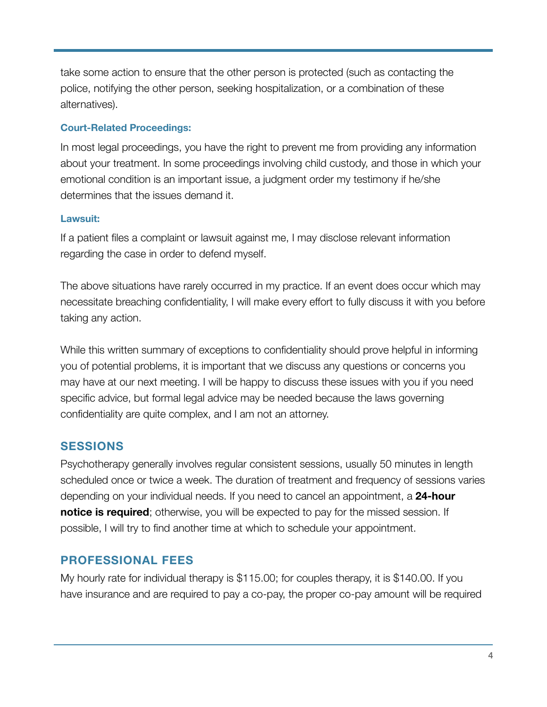take some action to ensure that the other person is protected (such as contacting the police, notifying the other person, seeking hospitalization, or a combination of these alternatives).

#### **Court-Related Proceedings:**

In most legal proceedings, you have the right to prevent me from providing any information about your treatment. In some proceedings involving child custody, and those in which your emotional condition is an important issue, a judgment order my testimony if he/she determines that the issues demand it.

#### **Lawsuit:**

If a patient files a complaint or lawsuit against me, I may disclose relevant information regarding the case in order to defend myself.

The above situations have rarely occurred in my practice. If an event does occur which may necessitate breaching confidentiality, I will make every effort to fully discuss it with you before taking any action.

While this written summary of exceptions to confidentiality should prove helpful in informing you of potential problems, it is important that we discuss any questions or concerns you may have at our next meeting. I will be happy to discuss these issues with you if you need specific advice, but formal legal advice may be needed because the laws governing confidentiality are quite complex, and I am not an attorney.

### **SESSIONS**

Psychotherapy generally involves regular consistent sessions, usually 50 minutes in length scheduled once or twice a week. The duration of treatment and frequency of sessions varies depending on your individual needs. If you need to cancel an appointment, a **24-hour notice is required**; otherwise, you will be expected to pay for the missed session. If possible, I will try to find another time at which to schedule your appointment.

### **PROFESSIONAL FEES**

My hourly rate for individual therapy is \$115.00; for couples therapy, it is \$140.00. If you have insurance and are required to pay a co-pay, the proper co-pay amount will be required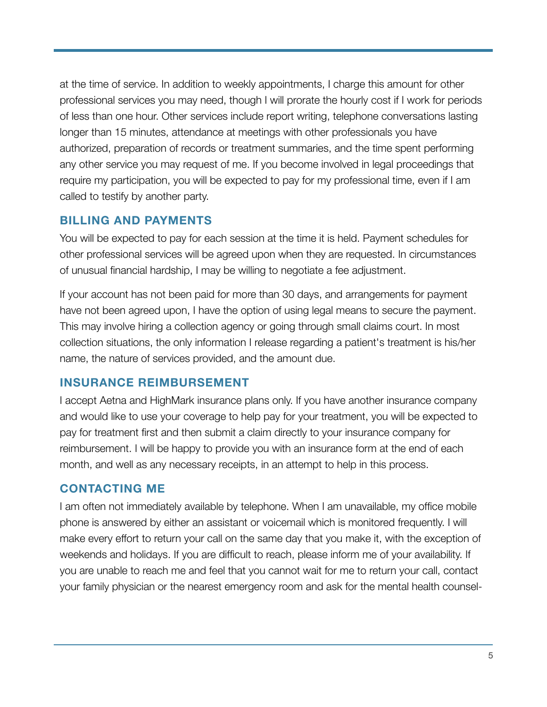at the time of service. In addition to weekly appointments, I charge this amount for other professional services you may need, though I will prorate the hourly cost if I work for periods of less than one hour. Other services include report writing, telephone conversations lasting longer than 15 minutes, attendance at meetings with other professionals you have authorized, preparation of records or treatment summaries, and the time spent performing any other service you may request of me. If you become involved in legal proceedings that require my participation, you will be expected to pay for my professional time, even if I am called to testify by another party.

## **BILLING AND PAYMENTS**

You will be expected to pay for each session at the time it is held. Payment schedules for other professional services will be agreed upon when they are requested. In circumstances of unusual financial hardship, I may be willing to negotiate a fee adjustment.

If your account has not been paid for more than 30 days, and arrangements for payment have not been agreed upon, I have the option of using legal means to secure the payment. This may involve hiring a collection agency or going through small claims court. In most collection situations, the only information I release regarding a patient's treatment is his/her name, the nature of services provided, and the amount due.

### **INSURANCE REIMBURSEMENT**

I accept Aetna and HighMark insurance plans only. If you have another insurance company and would like to use your coverage to help pay for your treatment, you will be expected to pay for treatment first and then submit a claim directly to your insurance company for reimbursement. I will be happy to provide you with an insurance form at the end of each month, and well as any necessary receipts, in an attempt to help in this process.

## **CONTACTING ME**

I am often not immediately available by telephone. When I am unavailable, my office mobile phone is answered by either an assistant or voicemail which is monitored frequently. I will make every effort to return your call on the same day that you make it, with the exception of weekends and holidays. If you are difficult to reach, please inform me of your availability. If you are unable to reach me and feel that you cannot wait for me to return your call, contact your family physician or the nearest emergency room and ask for the mental health counsel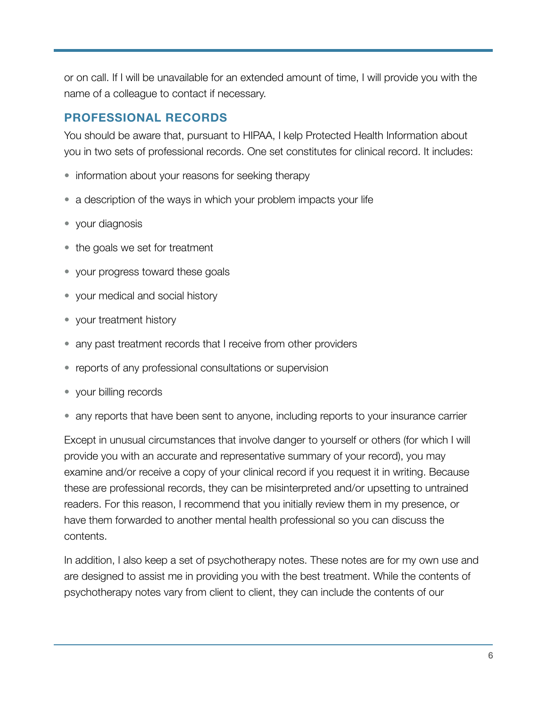or on call. If I will be unavailable for an extended amount of time, I will provide you with the name of a colleague to contact if necessary.

## **PROFESSIONAL RECORDS**

You should be aware that, pursuant to HIPAA, I kelp Protected Health Information about you in two sets of professional records. One set constitutes for clinical record. It includes:

- information about your reasons for seeking therapy
- a description of the ways in which your problem impacts your life
- your diagnosis
- the goals we set for treatment
- your progress toward these goals
- your medical and social history
- your treatment history
- any past treatment records that I receive from other providers
- reports of any professional consultations or supervision
- your billing records
- any reports that have been sent to anyone, including reports to your insurance carrier

Except in unusual circumstances that involve danger to yourself or others (for which I will provide you with an accurate and representative summary of your record), you may examine and/or receive a copy of your clinical record if you request it in writing. Because these are professional records, they can be misinterpreted and/or upsetting to untrained readers. For this reason, I recommend that you initially review them in my presence, or have them forwarded to another mental health professional so you can discuss the contents.

In addition, I also keep a set of psychotherapy notes. These notes are for my own use and are designed to assist me in providing you with the best treatment. While the contents of psychotherapy notes vary from client to client, they can include the contents of our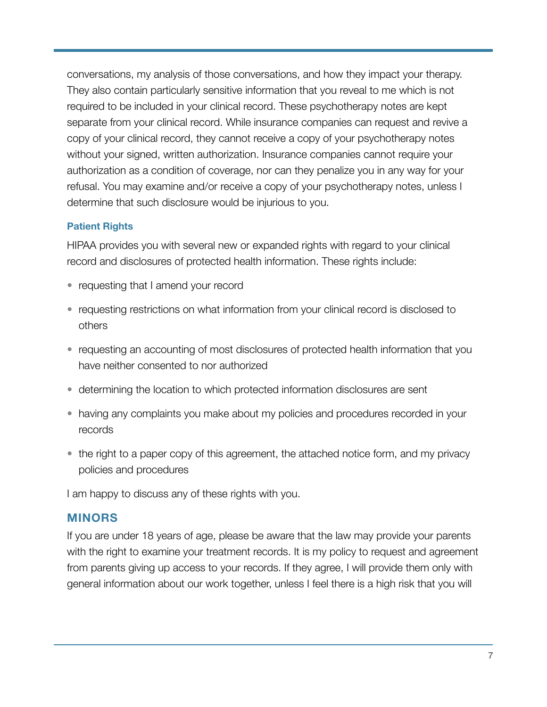conversations, my analysis of those conversations, and how they impact your therapy. They also contain particularly sensitive information that you reveal to me which is not required to be included in your clinical record. These psychotherapy notes are kept separate from your clinical record. While insurance companies can request and revive a copy of your clinical record, they cannot receive a copy of your psychotherapy notes without your signed, written authorization. Insurance companies cannot require your authorization as a condition of coverage, nor can they penalize you in any way for your refusal. You may examine and/or receive a copy of your psychotherapy notes, unless I determine that such disclosure would be injurious to you.

#### **Patient Rights**

HIPAA provides you with several new or expanded rights with regard to your clinical record and disclosures of protected health information. These rights include:

- requesting that I amend your record
- requesting restrictions on what information from your clinical record is disclosed to others
- requesting an accounting of most disclosures of protected health information that you have neither consented to nor authorized
- determining the location to which protected information disclosures are sent
- having any complaints you make about my policies and procedures recorded in your records
- the right to a paper copy of this agreement, the attached notice form, and my privacy policies and procedures

I am happy to discuss any of these rights with you.

#### **MINORS**

If you are under 18 years of age, please be aware that the law may provide your parents with the right to examine your treatment records. It is my policy to request and agreement from parents giving up access to your records. If they agree, I will provide them only with general information about our work together, unless I feel there is a high risk that you will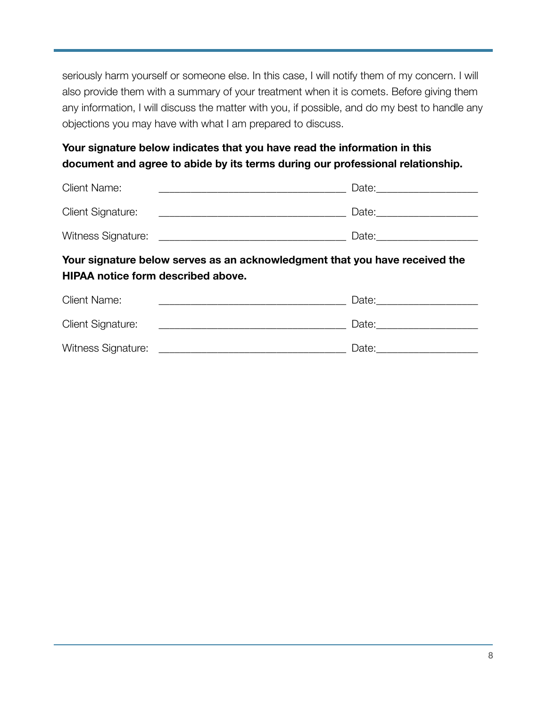seriously harm yourself or someone else. In this case, I will notify them of my concern. I will also provide them with a summary of your treatment when it is comets. Before giving them any information, I will discuss the matter with you, if possible, and do my best to handle any objections you may have with what I am prepared to discuss.

## **Your signature below indicates that you have read the information in this document and agree to abide by its terms during our professional relationship.**

| <b>Client Name:</b>      | Date: |
|--------------------------|-------|
| <b>Client Signature:</b> | Date: |
| Witness Signature:       | Date: |

## **Your signature below serves as an acknowledgment that you have received the HIPAA notice form described above.**

| <b>Client Name:</b>       | Date: |
|---------------------------|-------|
| <b>Client Signature:</b>  | Date: |
| <b>Witness Signature:</b> | Date: |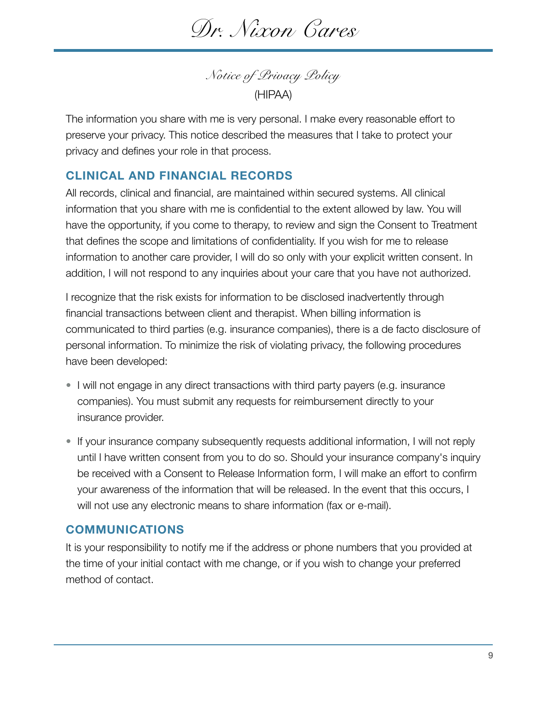*Dr. Nixon Cares* 

*Notice of Privacy Policy*  (HIPAA)

The information you share with me is very personal. I make every reasonable effort to preserve your privacy. This notice described the measures that I take to protect your privacy and defines your role in that process.

#### **CLINICAL AND FINANCIAL RECORDS**

All records, clinical and financial, are maintained within secured systems. All clinical information that you share with me is confidential to the extent allowed by law. You will have the opportunity, if you come to therapy, to review and sign the Consent to Treatment that defines the scope and limitations of confidentiality. If you wish for me to release information to another care provider, I will do so only with your explicit written consent. In addition, I will not respond to any inquiries about your care that you have not authorized.

I recognize that the risk exists for information to be disclosed inadvertently through financial transactions between client and therapist. When billing information is communicated to third parties (e.g. insurance companies), there is a de facto disclosure of personal information. To minimize the risk of violating privacy, the following procedures have been developed:

- I will not engage in any direct transactions with third party payers (e.g. insurance companies). You must submit any requests for reimbursement directly to your insurance provider.
- If your insurance company subsequently requests additional information, I will not reply until I have written consent from you to do so. Should your insurance company's inquiry be received with a Consent to Release Information form, I will make an effort to confirm your awareness of the information that will be released. In the event that this occurs, I will not use any electronic means to share information (fax or e-mail).

#### **COMMUNICATIONS**

It is your responsibility to notify me if the address or phone numbers that you provided at the time of your initial contact with me change, or if you wish to change your preferred method of contact.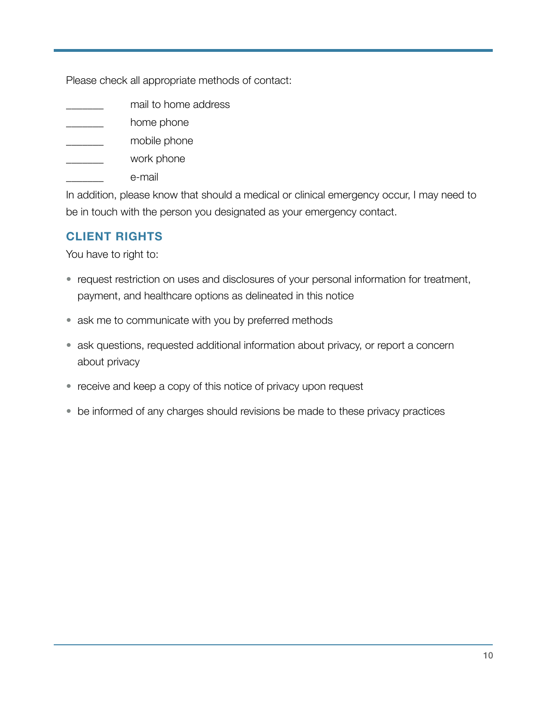Please check all appropriate methods of contact:

- mail to home address
- home phone
- \_\_\_\_\_\_\_ mobile phone
- work phone
- e-mail

In addition, please know that should a medical or clinical emergency occur, I may need to be in touch with the person you designated as your emergency contact.

## **CLIENT RIGHTS**

You have to right to:

- request restriction on uses and disclosures of your personal information for treatment, payment, and healthcare options as delineated in this notice
- ask me to communicate with you by preferred methods
- ask questions, requested additional information about privacy, or report a concern about privacy
- receive and keep a copy of this notice of privacy upon request
- be informed of any charges should revisions be made to these privacy practices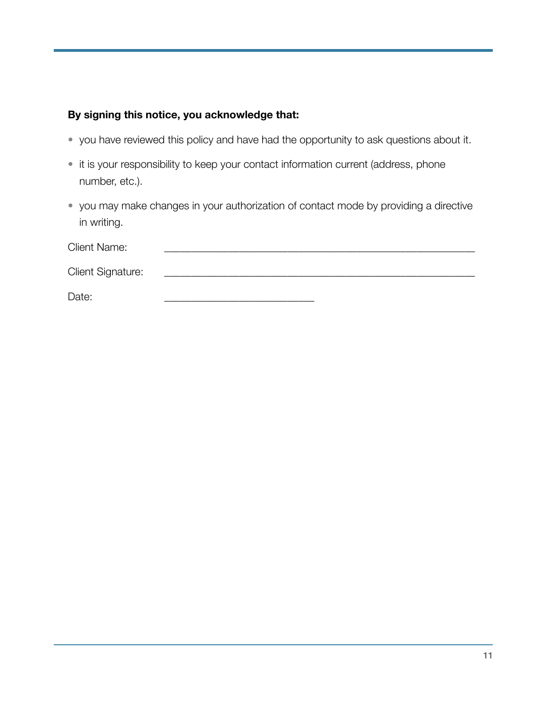### **By signing this notice, you acknowledge that:**

- you have reviewed this policy and have had the opportunity to ask questions about it.
- it is your responsibility to keep your contact information current (address, phone number, etc.).
- you may make changes in your authorization of contact mode by providing a directive in writing.

| <b>Client Name:</b> |  |
|---------------------|--|
| Client Signature:   |  |
| Date:               |  |